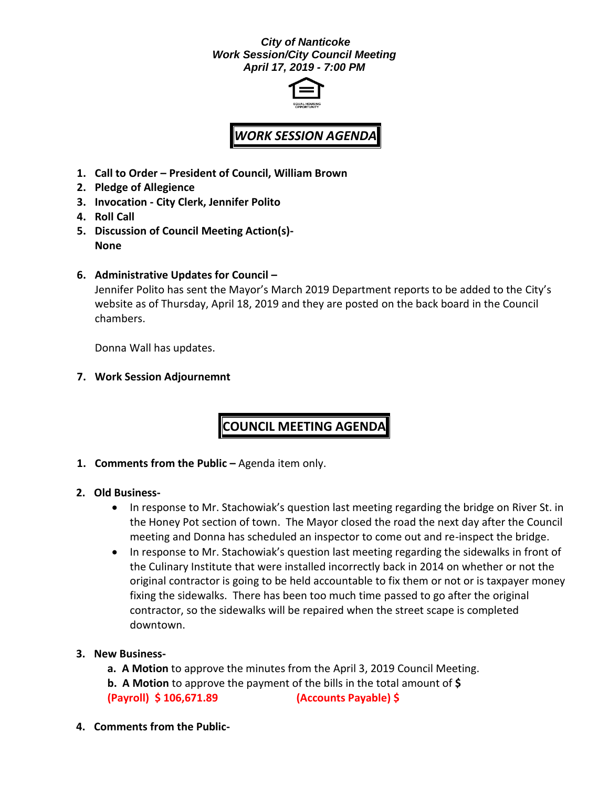## *City of Nanticoke Work Session/City Council Meeting April 17, 2019 - 7:00 PM*



# *WORK SESSION AGENDA*

- **1. Call to Order – President of Council, William Brown**
- **2. Pledge of Allegience**
- **3. Invocation - City Clerk, Jennifer Polito**
- **4. Roll Call**
- **5. Discussion of Council Meeting Action(s)- None**
- **6. Administrative Updates for Council –**

Jennifer Polito has sent the Mayor's March 2019 Department reports to be added to the City's website as of Thursday, April 18, 2019 and they are posted on the back board in the Council chambers.

Donna Wall has updates.

**7. Work Session Adjournemnt**

**COUNCIL MEETING AGENDA**

**1. Comments from the Public –** Agenda item only.

### **2. Old Business-**

- In response to Mr. Stachowiak's question last meeting regarding the bridge on River St. in the Honey Pot section of town. The Mayor closed the road the next day after the Council meeting and Donna has scheduled an inspector to come out and re-inspect the bridge.
- In response to Mr. Stachowiak's question last meeting regarding the sidewalks in front of the Culinary Institute that were installed incorrectly back in 2014 on whether or not the original contractor is going to be held accountable to fix them or not or is taxpayer money fixing the sidewalks. There has been too much time passed to go after the original contractor, so the sidewalks will be repaired when the street scape is completed downtown.

### **3. New Business-**

- **a. A Motion** to approve the minutes from the April 3, 2019 Council Meeting.
- **b. A Motion** to approve the payment of the bills in the total amount of **\$ (Payroll) \$ 106,671.89 (Accounts Payable) \$**
- **4. Comments from the Public-**